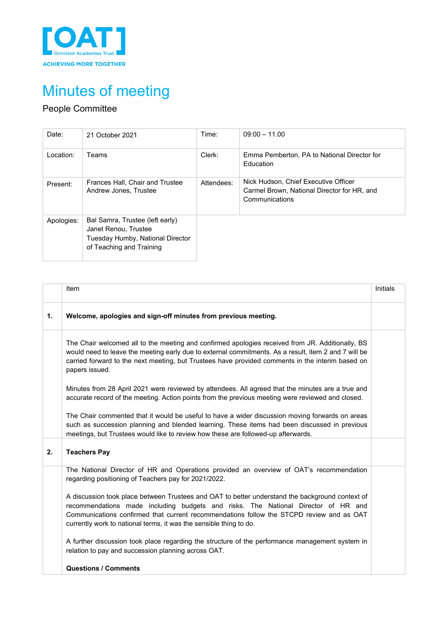

# Minutes of meeting

# People Committee

| Date:      | 21 October 2021                                                                                                         | Time:      | $09:00 - 11.00$                                                                                       |
|------------|-------------------------------------------------------------------------------------------------------------------------|------------|-------------------------------------------------------------------------------------------------------|
| Location:  | Teams                                                                                                                   | Clerk:     | Emma Pemberton, PA to National Director for<br>Education                                              |
| Present:   | Frances Hall, Chair and Trustee<br>Andrew Jones, Trustee                                                                | Attendees: | Nick Hudson, Chief Executive Officer<br>Carmel Brown, National Director for HR, and<br>Communications |
| Apologies: | Bal Samra, Trustee (left early)<br>Janet Renou, Trustee<br>Tuesday Humby, National Director<br>of Teaching and Training |            |                                                                                                       |

|    | Item                                                                                                                                                                                                                                                                                                                                                   | Initials |
|----|--------------------------------------------------------------------------------------------------------------------------------------------------------------------------------------------------------------------------------------------------------------------------------------------------------------------------------------------------------|----------|
| 1. | Welcome, apologies and sign-off minutes from previous meeting.                                                                                                                                                                                                                                                                                         |          |
|    | The Chair welcomed all to the meeting and confirmed apologies received from JR. Additionally, BS<br>would need to leave the meeting early due to external commitments. As a result, item 2 and 7 will be<br>carried forward to the next meeting, but Trustees have provided comments in the interim based on<br>papers issued.                         |          |
|    | Minutes from 28 April 2021 were reviewed by attendees. All agreed that the minutes are a true and<br>accurate record of the meeting. Action points from the previous meeting were reviewed and closed.                                                                                                                                                 |          |
|    | The Chair commented that it would be useful to have a wider discussion moving forwards on areas<br>such as succession planning and blended learning. These items had been discussed in previous<br>meetings, but Trustees would like to review how these are followed-up afterwards.                                                                   |          |
| 2. | <b>Teachers Pay</b>                                                                                                                                                                                                                                                                                                                                    |          |
|    | The National Director of HR and Operations provided an overview of OAT's recommendation<br>regarding positioning of Teachers pay for 2021/2022.                                                                                                                                                                                                        |          |
|    | A discussion took place between Trustees and OAT to better understand the background context of<br>recommendations made including budgets and risks. The National Director of HR and<br>Communications confirmed that current recommendations follow the STCPD review and as OAT<br>currently work to national terms, it was the sensible thing to do. |          |
|    | A further discussion took place regarding the structure of the performance management system in<br>relation to pay and succession planning across OAT.                                                                                                                                                                                                 |          |
|    | <b>Questions / Comments</b>                                                                                                                                                                                                                                                                                                                            |          |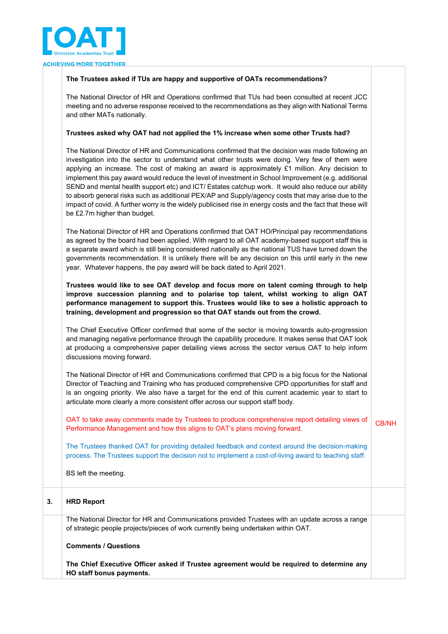

### **The Trustees asked if TUs are happy and supportive of OATs recommendations?**

The National Director of HR and Operations confirmed that TUs had been consulted at recent JCC meeting and no adverse response received to the recommendations as they align with National Terms and other MATs nationally.

#### **Trustees asked why OAT had not applied the 1% increase when some other Trusts had?**

The National Director of HR and Communications confirmed that the decision was made following an investigation into the sector to understand what other trusts were doing. Very few of them were applying an increase. The cost of making an award is approximately £1 million. Any decision to implement this pay award would reduce the level of investment in School Improvement (e.g. additional SEND and mental health support etc) and ICT/ Estates catchup work. It would also reduce our ability to absorb general risks such as additional PEX/AP and Supply/agency costs that may arise due to the impact of covid. A further worry is the widely publicised rise in energy costs and the fact that these will be £2.7m higher than budget.

The National Director of HR and Operations confirmed that OAT HO/Principal pay recommendations as agreed by the board had been applied. With regard to all OAT academy-based support staff this is a separate award which is still being considered nationally as the national TUS have turned down the governments recommendation. It is unlikely there will be any decision on this until early in the new year. Whatever happens, the pay award will be back dated to April 2021.

**Trustees would like to see OAT develop and focus more on talent coming through to help improve succession planning and to polarise top talent, whilst working to align OAT performance management to support this. Trustees would like to see a holistic approach to training, development and progression so that OAT stands out from the crowd.** 

The Chief Executive Officer confirmed that some of the sector is moving towards auto-progression and managing negative performance through the capability procedure. It makes sense that OAT look at producing a comprehensive paper detailing views across the sector versus OAT to help inform discussions moving forward.

The National Director of HR and Communications confirmed that CPD is a big focus for the National Director of Teaching and Training who has produced comprehensive CPD opportunities for staff and is an ongoing priority. We also have a target for the end of this current academic year to start to articulate more clearly a more consistent offer across our support staff body.

OAT to take away comments made by Trustees to produce comprehensive report detailing views of Performance Management and how this aligns to OAT's plans moving forward. CB/NH

The Trustees thanked OAT for providing detailed feedback and context around the decision-making process. The Trustees support the decision not to implement a cost-of-living award to teaching staff.

BS left the meeting.

## **3. HRD Report**

The National Director for HR and Communications provided Trustees with an update across a range of strategic people projects/pieces of work currently being undertaken within OAT.

#### **Comments / Questions**

**The Chief Executive Officer asked if Trustee agreement would be required to determine any HO staff bonus payments.**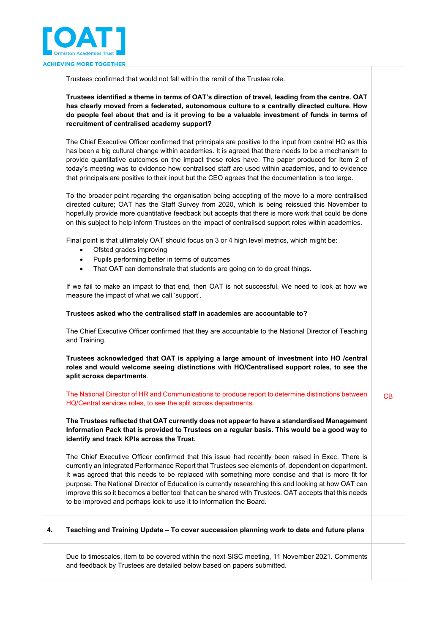

Trustees confirmed that would not fall within the remit of the Trustee role.

**Trustees identified a theme in terms of OAT's direction of travel, leading from the centre. OAT has clearly moved from a federated, autonomous culture to a centrally directed culture. How do people feel about that and is it proving to be a valuable investment of funds in terms of recruitment of centralised academy support?** 

The Chief Executive Officer confirmed that principals are positive to the input from central HO as this has been a big cultural change within academies. It is agreed that there needs to be a mechanism to provide quantitative outcomes on the impact these roles have. The paper produced for Item 2 of today's meeting was to evidence how centralised staff are used within academies, and to evidence that principals are positive to their input but the CEO agrees that the documentation is too large.

To the broader point regarding the organisation being accepting of the move to a more centralised directed culture; OAT has the Staff Survey from 2020, which is being reissued this November to hopefully provide more quantitative feedback but accepts that there is more work that could be done on this subject to help inform Trustees on the impact of centralised support roles within academies.

Final point is that ultimately OAT should focus on 3 or 4 high level metrics, which might be:

- Ofsted grades improving
- Pupils performing better in terms of outcomes
- That OAT can demonstrate that students are going on to do great things.

If we fail to make an impact to that end, then OAT is not successful. We need to look at how we measure the impact of what we call 'support'.

#### **Trustees asked who the centralised staff in academies are accountable to?**

The Chief Executive Officer confirmed that they are accountable to the National Director of Teaching and Training.

**Trustees acknowledged that OAT is applying a large amount of investment into HO /central roles and would welcome seeing distinctions with HO/Centralised support roles, to see the split across departments**.

The National Director of HR and Communications to produce report to determine distinctions between HQ/Central services roles, to see the split across departments. CB

**The Trustees reflected that OAT currently does not appear to have a standardised Management Information Pack that is provided to Trustees on a regular basis. This would be a good way to identify and track KPIs across the Trust.** 

The Chief Executive Officer confirmed that this issue had recently been raised in Exec. There is currently an Integrated Performance Report that Trustees see elements of, dependent on department. It was agreed that this needs to be replaced with something more concise and that is more fit for purpose. The National Director of Education is currently researching this and looking at how OAT can improve this so it becomes a better tool that can be shared with Trustees. OAT accepts that this needs to be improved and perhaps look to use it to information the Board.

**4. Teaching and Training Update – To cover succession planning work to date and future plans**

Due to timescales, item to be covered within the next SISC meeting, 11 November 2021. Comments and feedback by Trustees are detailed below based on papers submitted.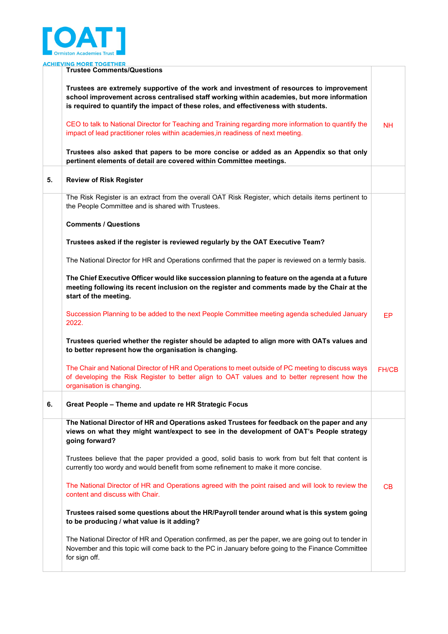

|    | <b>ACHIEVING MORE TOGETHER</b>                                                                                                                                                                                                                                                |              |
|----|-------------------------------------------------------------------------------------------------------------------------------------------------------------------------------------------------------------------------------------------------------------------------------|--------------|
|    | <b>Trustee Comments/Questions</b>                                                                                                                                                                                                                                             |              |
|    | Trustees are extremely supportive of the work and investment of resources to improvement<br>school improvement across centralised staff working within academies, but more information<br>is required to quantify the impact of these roles, and effectiveness with students. |              |
|    | CEO to talk to National Director for Teaching and Training regarding more information to quantify the<br>impact of lead practitioner roles within academies, in readiness of next meeting.                                                                                    | NH.          |
|    | Trustees also asked that papers to be more concise or added as an Appendix so that only<br>pertinent elements of detail are covered within Committee meetings.                                                                                                                |              |
| 5. | <b>Review of Risk Register</b>                                                                                                                                                                                                                                                |              |
|    | The Risk Register is an extract from the overall OAT Risk Register, which details items pertinent to<br>the People Committee and is shared with Trustees.                                                                                                                     |              |
|    | <b>Comments / Questions</b>                                                                                                                                                                                                                                                   |              |
|    | Trustees asked if the register is reviewed regularly by the OAT Executive Team?                                                                                                                                                                                               |              |
|    | The National Director for HR and Operations confirmed that the paper is reviewed on a termly basis.                                                                                                                                                                           |              |
|    | The Chief Executive Officer would like succession planning to feature on the agenda at a future<br>meeting following its recent inclusion on the register and comments made by the Chair at the<br>start of the meeting.                                                      |              |
|    | Succession Planning to be added to the next People Committee meeting agenda scheduled January<br>2022.                                                                                                                                                                        | EP           |
|    | Trustees queried whether the register should be adapted to align more with OATs values and<br>to better represent how the organisation is changing.                                                                                                                           |              |
|    | The Chair and National Director of HR and Operations to meet outside of PC meeting to discuss ways<br>of developing the Risk Register to better align to OAT values and to better represent how the<br>organisation is changing.                                              | <b>FH/CB</b> |
| 6. | Great People - Theme and update re HR Strategic Focus                                                                                                                                                                                                                         |              |
|    | The National Director of HR and Operations asked Trustees for feedback on the paper and any<br>views on what they might want/expect to see in the development of OAT's People strategy<br>going forward?                                                                      |              |
|    | Trustees believe that the paper provided a good, solid basis to work from but felt that content is<br>currently too wordy and would benefit from some refinement to make it more concise.                                                                                     |              |
|    | The National Director of HR and Operations agreed with the point raised and will look to review the<br>content and discuss with Chair.                                                                                                                                        | CВ           |
|    | Trustees raised some questions about the HR/Payroll tender around what is this system going<br>to be producing / what value is it adding?                                                                                                                                     |              |
|    | The National Director of HR and Operation confirmed, as per the paper, we are going out to tender in<br>November and this topic will come back to the PC in January before going to the Finance Committee<br>for sign off.                                                    |              |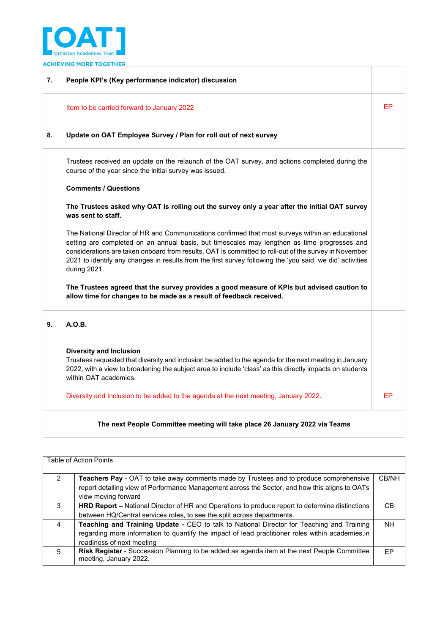

**ACHIEVING MORE TOGETHER** 

| 7. | People KPI's (Key performance indicator) discussion                                                                                                                                                                                                                                                                                                                                                                                    |    |
|----|----------------------------------------------------------------------------------------------------------------------------------------------------------------------------------------------------------------------------------------------------------------------------------------------------------------------------------------------------------------------------------------------------------------------------------------|----|
|    | Item to be carried forward to January 2022                                                                                                                                                                                                                                                                                                                                                                                             | EP |
| 8. | Update on OAT Employee Survey / Plan for roll out of next survey                                                                                                                                                                                                                                                                                                                                                                       |    |
|    | Trustees received an update on the relaunch of the OAT survey, and actions completed during the<br>course of the year since the initial survey was issued.                                                                                                                                                                                                                                                                             |    |
|    | <b>Comments / Questions</b>                                                                                                                                                                                                                                                                                                                                                                                                            |    |
|    | The Trustees asked why OAT is rolling out the survey only a year after the initial OAT survey<br>was sent to staff.                                                                                                                                                                                                                                                                                                                    |    |
|    | The National Director of HR and Communications confirmed that most surveys within an educational<br>setting are completed on an annual basis, but timescales may lengthen as time progresses and<br>considerations are taken onboard from results. OAT is committed to roll-out of the survey in November<br>2021 to identify any changes in results from the first survey following the 'you said, we did' activities<br>during 2021. |    |
|    | The Trustees agreed that the survey provides a good measure of KPIs but advised caution to<br>allow time for changes to be made as a result of feedback received.                                                                                                                                                                                                                                                                      |    |
| 9. | A.O.B.                                                                                                                                                                                                                                                                                                                                                                                                                                 |    |
|    | <b>Diversity and Inclusion</b><br>Trustees requested that diversity and inclusion be added to the agenda for the next meeting in January<br>2022, with a view to broadening the subject area to include 'class' as this directly impacts on students<br>within OAT academies.                                                                                                                                                          |    |
|    | Diversity and Inclusion to be added to the agenda at the next meeting, January 2022.                                                                                                                                                                                                                                                                                                                                                   | FP |
|    | The next People Committee meeting will take place 26 January 2022 via Teams                                                                                                                                                                                                                                                                                                                                                            |    |

| <b>Table of Action Points</b> |                                                                                                                                                                                          |       |
|-------------------------------|------------------------------------------------------------------------------------------------------------------------------------------------------------------------------------------|-------|
| 2                             | Teachers Pay - OAT to take away comments made by Trustees and to produce comprehensive<br>report detailing view of Performance Management across the Sector, and how this aligns to OATs | CB/NH |
|                               | view moving forward                                                                                                                                                                      |       |
| 3                             | <b>HRD Report - National Director of HR and Operations to produce report to determine distinctions</b>                                                                                   | CВ    |
|                               | between HQ/Central services roles, to see the split across departments.                                                                                                                  |       |
| 4                             | Teaching and Training Update - CEO to talk to National Director for Teaching and Training                                                                                                | NH.   |
|                               | regarding more information to quantify the impact of lead practitioner roles within academies, in                                                                                        |       |
|                               | readiness of next meeting                                                                                                                                                                |       |
| 5                             | <b>Risk Register</b> - Succession Planning to be added as agenda item at the next People Committee<br>meeting, January 2022.                                                             | FP    |